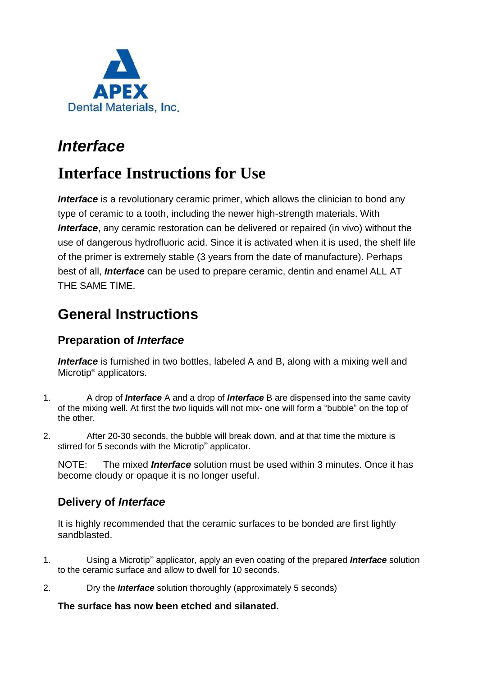

## *Interface*

# **Interface Instructions for Use**

**Interface** is a revolutionary ceramic primer, which allows the clinician to bond any type of ceramic to a tooth, including the newer high-strength materials. With *Interface*, any ceramic restoration can be delivered or repaired (in vivo) without the use of dangerous hydrofluoric acid. Since it is activated when it is used, the shelf life of the primer is extremely stable (3 years from the date of manufacture). Perhaps best of all, *Interface* can be used to prepare ceramic, dentin and enamel ALL AT THE SAME TIME.

### **General Instructions**

### **Preparation of** *Interface*

**Interface** is furnished in two bottles, labeled A and B, along with a mixing well and Microtip® applicators.

- 1. A drop of *Interface* A and a drop of *Interface* B are dispensed into the same cavity of the mixing well. At first the two liquids will not mix- one will form a "bubble" on the top of the other.
- 2. After 20-30 seconds, the bubble will break down, and at that time the mixture is stirred for 5 seconds with the Microtip<sup>®</sup> applicator.

NOTE: The mixed *Interface* solution must be used within 3 minutes. Once it has become cloudy or opaque it is no longer useful.

### **Delivery of** *Interface*

It is highly recommended that the ceramic surfaces to be bonded are first lightly sandblasted.

- 1. Using a Microtip® applicator, apply an even coating of the prepared *Interface* solution to the ceramic surface and allow to dwell for 10 seconds.
- 2. Dry the *Interface* solution thoroughly (approximately 5 seconds)

#### **The surface has now been etched and silanated.**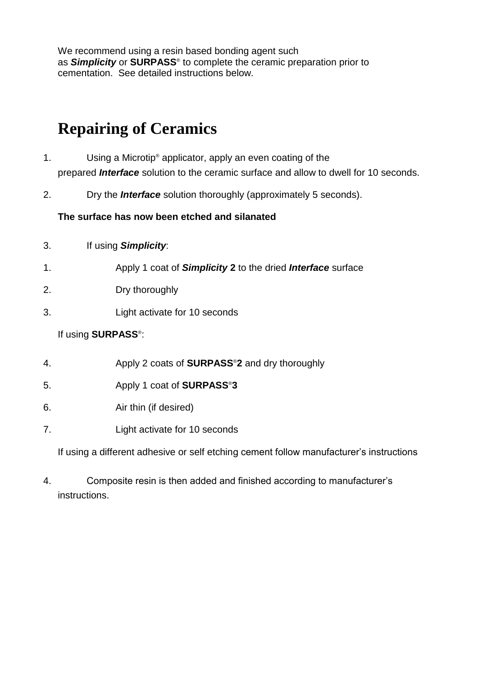We recommend using a resin based bonding agent such as *Simplicity* or **SURPASS**® to complete the ceramic preparation prior to cementation. See detailed instructions below.

# **Repairing of Ceramics**

- 1. Using a Microtip® applicator, apply an even coating of the prepared *Interface* solution to the ceramic surface and allow to dwell for 10 seconds.
- 2. Dry the *Interface* solution thoroughly (approximately 5 seconds).

#### **The surface has now been etched and silanated**

| 3. | If using Simplicity: |  |
|----|----------------------|--|
|----|----------------------|--|

- 1. Apply 1 coat of *Simplicity* **2** to the dried *Interface* surface
- 2. Dry thoroughly
- 3. Light activate for 10 seconds

#### If using **SURPASS**® :

- 4. Apply 2 coats of **SURPASS**®**2** and dry thoroughly
- 5. Apply 1 coat of **SURPASS**®**3**
- 6. Air thin (if desired)
- 7. Light activate for 10 seconds

If using a different adhesive or self etching cement follow manufacturer's instructions

4. Composite resin is then added and finished according to manufacturer's instructions.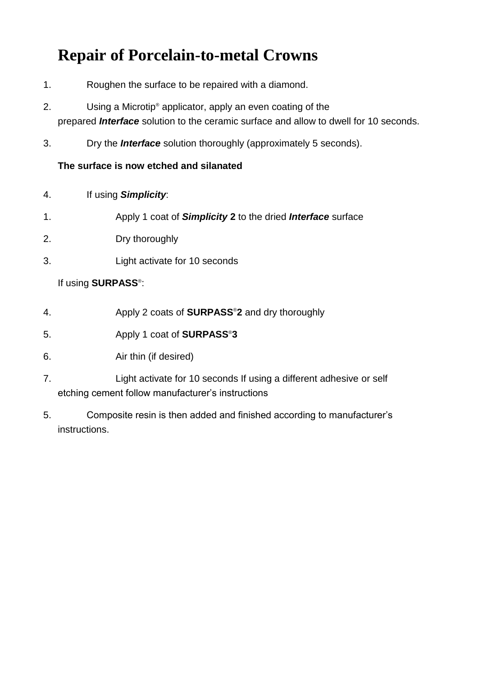# **Repair of Porcelain-to-metal Crowns**

- 1. Roughen the surface to be repaired with a diamond.
- 2. Using a Microtip® applicator, apply an even coating of the prepared *Interface* solution to the ceramic surface and allow to dwell for 10 seconds.
- 3. Dry the *Interface* solution thoroughly (approximately 5 seconds).

#### **The surface is now etched and silanated**

- 4. If using *Simplicity*:
- 1. Apply 1 coat of *Simplicity* **2** to the dried *Interface* surface
- 2. Dry thoroughly
- 3. Light activate for 10 seconds

#### If using **SURPASS**® :

- 4. Apply 2 coats of **SURPASS**®**2** and dry thoroughly
- 5. Apply 1 coat of **SURPASS**®**3**
- 6. Air thin (if desired)
- 7. Light activate for 10 seconds If using a different adhesive or self etching cement follow manufacturer's instructions
- 5. Composite resin is then added and finished according to manufacturer's instructions.